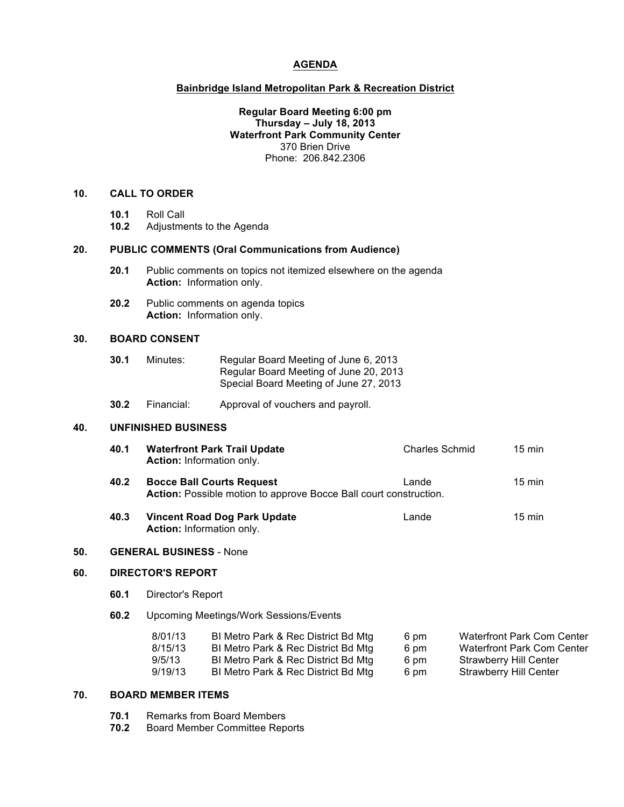## **AGENDA**

#### **Bainbridge Island Metropolitan Park & Recreation District**

## **Regular Board Meeting 6:00 pm Thursday – July 18, 2013 Waterfront Park Community Center** 370 Brien Drive Phone: 206.842.2306

## **10. CALL TO ORDER**

- **10.1** Roll Call
- **10.2** Adjustments to the Agenda

#### **20. PUBLIC COMMENTS (Oral Communications from Audience)**

- **20.1** Public comments on topics not itemized elsewhere on the agenda **Action:** Information only.
- **20.2** Public comments on agenda topics **Action:** Information only.

### **30. BOARD CONSENT**

- **30.1** Minutes: Regular Board Meeting of June 6, 2013 Regular Board Meeting of June 20, 2013 Special Board Meeting of June 27, 2013
- **30.2** Financial: Approval of vouchers and payroll.

## **40. UNFINISHED BUSINESS**

| 40.1 | <b>Waterfront Park Trail Update</b> | Charles Schmid | 15 min |
|------|-------------------------------------|----------------|--------|
|      | <b>Action:</b> Information only.    |                |        |

| 40.2 | <b>Bocce Ball Courts Request</b>                                         | Lande | 15 min |
|------|--------------------------------------------------------------------------|-------|--------|
|      | <b>Action:</b> Possible motion to approve Bocce Ball court construction. |       |        |

**40.3 • Vincent Road Dog Park Update Lande** Lande 15 min **Action:** Information only.

#### **50. GENERAL BUSINESS** - None

#### **60. DIRECTOR'S REPORT**

- **60.1** Director's Report
- **60.2** Upcoming Meetings/Work Sessions/Events

| 8/01/13 | BI Metro Park & Rec District Bd Mtg | 6 pm | Waterfront Park Com Center |
|---------|-------------------------------------|------|----------------------------|
| 8/15/13 | BI Metro Park & Rec District Bd Mtg | 6 pm | Waterfront Park Com Center |
| 9/5/13  | BI Metro Park & Rec District Bd Mtg | 6 pm | Strawberry Hill Center     |
| 9/19/13 | BI Metro Park & Rec District Bd Mtg | 6 pm | Strawberry Hill Center     |

## **70. BOARD MEMBER ITEMS**

- **70.1** Remarks from Board Members
- **70.2** Board Member Committee Reports